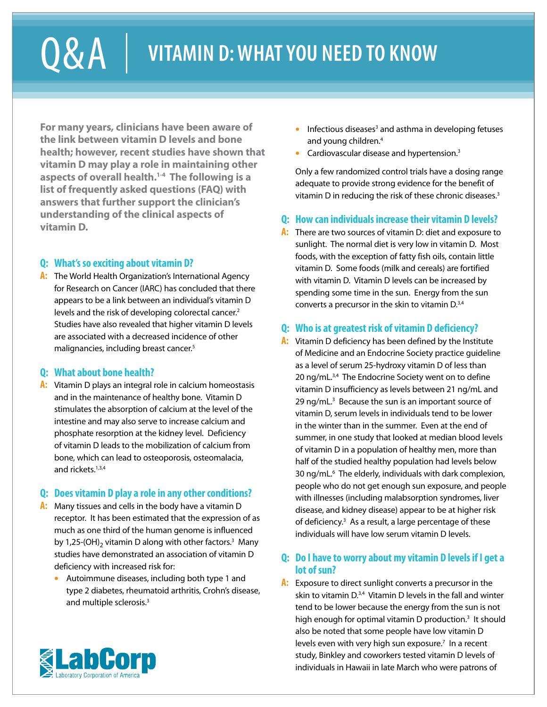# Q & A  $\parallel$  vitamin d: what you need to know

**For many years, clinicians have been aware of the link between vitamin D levels and bone health; however, recent studies have shown that vitamin D may play a role in maintaining other aspects of overall health.1-4 The following is a list of frequently asked questions (FAQ) with answers that further support the clinician's understanding of the clinical aspects of vitamin D.**

# **Q: What's so exciting about vitamin D?**

**A:** The World Health Organization's International Agency for Research on Cancer (IARC) has concluded that there appears to be a link between an individual's vitamin D levels and the risk of developing colorectal cancer.<sup>2</sup> Studies have also revealed that higher vitamin D levels are associated with a decreased incidence of other malignancies, including breast cancer.<sup>5</sup>

# **Q: What about bone health?**

**A:** Vitamin D plays an integral role in calcium homeostasis and in the maintenance of healthy bone. Vitamin D stimulates the absorption of calcium at the level of the intestine and may also serve to increase calcium and phosphate resorption at the kidney level. Deficiency of vitamin D leads to the mobilization of calcium from bone, which can lead to osteoporosis, osteomalacia, and rickets.<sup>1,3,4</sup>

# **Q: Does vitamin D play a role in any other conditions?**

- **A:** Many tissues and cells in the body have a vitamin D receptor. It has been estimated that the expression of as much as one third of the human genome is influenced by 1,25-(OH) $_2$  vitamin D along with other factors. $^{\text{3}}$  Many studies have demonstrated an association of vitamin D deficiency with increased risk for:
	- **•** Autoimmune diseases, including both type 1 and type 2 diabetes, rheumatoid arthritis, Crohn's disease, and multiple sclerosis.3
- **•** Infectious diseases<sup>3</sup> and asthma in developing fetuses and young children.4
- **•** Cardiovascular disease and hypertension.3

Only a few randomized control trials have a dosing range adequate to provide strong evidence for the benefit of vitamin D in reducing the risk of these chronic diseases.<sup>3</sup>

# **Q: How can individuals increase their vitamin D levels?**

**A:** There are two sources of vitamin D: diet and exposure to sunlight. The normal diet is very low in vitamin D. Most foods, with the exception of fatty fish oils, contain little vitamin D. Some foods (milk and cereals) are fortified with vitamin D. Vitamin D levels can be increased by spending some time in the sun. Energy from the sun converts a precursor in the skin to vitamin D.<sup>3,4</sup>

# **Q: Who is at greatest risk of vitamin D deficiency?**

**A:** Vitamin D deficiency has been defined by the Institute of Medicine and an Endocrine Society practice guideline as a level of serum 25-hydroxy vitamin D of less than 20 ng/mL.<sup>3,4</sup> The Endocrine Society went on to define vitamin D insufficiency as levels between 21 ng/mL and 29 ng/mL.<sup>3</sup> Because the sun is an important source of vitamin D, serum levels in individuals tend to be lower in the winter than in the summer. Even at the end of summer, in one study that looked at median blood levels of vitamin D in a population of healthy men, more than half of the studied healthy population had levels below 30 ng/mL.6 The elderly, individuals with dark complexion, people who do not get enough sun exposure, and people with illnesses (including malabsorption syndromes, liver disease, and kidney disease) appear to be at higher risk of deficiency.3 As a result, a large percentage of these individuals will have low serum vitamin D levels.

# **Q: Do I have to worry about my vitamin D levels if I get a lot of sun?**

**A:** Exposure to direct sunlight converts a precursor in the skin to vitamin D.3,4 Vitamin D levels in the fall and winter tend to be lower because the energy from the sun is not high enough for optimal vitamin D production.<sup>3</sup> It should also be noted that some people have low vitamin D levels even with very high sun exposure.<sup>7</sup> In a recent study, Binkley and coworkers tested vitamin D levels of individuals in Hawaii in late March who were patrons of

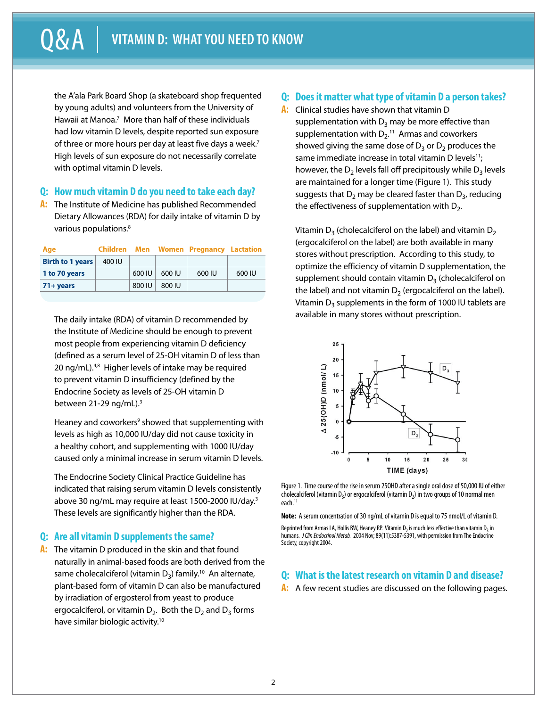the A'ala Park Board Shop (a skateboard shop frequented by young adults) and volunteers from the University of Hawaii at Manoa.<sup>7</sup> More than half of these individuals had low vitamin D levels, despite reported sun exposure of three or more hours per day at least five days a week.<sup>7</sup> High levels of sun exposure do not necessarily correlate with optimal vitamin D levels.

#### **Q: How much vitamin D do you need to take each day?**

**A:** The Institute of Medicine has published Recommended Dietary Allowances (RDA) for daily intake of vitamin D by various populations.<sup>8</sup>

| Age                     |        |        |        | <b>Children</b> Men Women Pregnancy Lactation |        |
|-------------------------|--------|--------|--------|-----------------------------------------------|--------|
| <b>Birth to 1 years</b> | 400 IU |        |        |                                               |        |
| 1 to 70 years           |        | 600 IU | 600 IU | 600 IU                                        | 600 IU |
| $71 + years$            |        | 800 IU | 800 IU |                                               |        |

The daily intake (RDA) of vitamin D recommended by the Institute of Medicine should be enough to prevent most people from experiencing vitamin D deficiency (defined as a serum level of 25-OH vitamin D of less than 20 ng/mL).<sup>4,8</sup> Higher levels of intake may be required to prevent vitamin D insufficiency (defined by the Endocrine Society as levels of 25-OH vitamin D between 21-29 ng/mL).<sup>3</sup>

Heaney and coworkers<sup>9</sup> showed that supplementing with levels as high as 10,000 IU/day did not cause toxicity in a healthy cohort, and supplementing with 1000 IU/day caused only a minimal increase in serum vitamin D levels.

The Endocrine Society Clinical Practice Guideline has indicated that raising serum vitamin D levels consistently above 30 ng/mL may require at least 1500-2000 IU/day.3 These levels are significantly higher than the RDA.

#### **Q: Are all vitamin D supplements the same?**

**A:** The vitamin D produced in the skin and that found naturally in animal-based foods are both derived from the same cholecalciferol (vitamin  $D_3$ ) family.<sup>10</sup> An alternate, plant-based form of vitamin D can also be manufactured by irradiation of ergosterol from yeast to produce ergocalciferol, or vitamin  $D_2$ . Both the  $D_2$  and  $D_3$  forms have similar biologic activity.10

## **Q: Does it matter what type of vitamin D a person takes?**

**A:** Clinical studies have shown that vitamin D supplementation with  $D_3$  may be more effective than supplementation with  $D_{2}$ .<sup>11</sup> Armas and coworkers showed giving the same dose of  $D_3$  or  $D_2$  produces the same immediate increase in total vitamin D levels $11$ ; however, the  $D_2$  levels fall off precipitously while  $D_3$  levels are maintained for a longer time (Figure 1). This study suggests that  $D_2$  may be cleared faster than  $D_3$ , reducing the effectiveness of supplementation with  $D_2$ .

Vitamin  $D_3$  (cholecalciferol on the label) and vitamin  $D_2$ (ergocalciferol on the label) are both available in many stores without prescription. According to this study, to optimize the efficiency of vitamin D supplementation, the supplement should contain vitamin  $D_3$  (cholecalciferol on the label) and not vitamin  $D_2$  (ergocalciferol on the label). Vitamin  $D_3$  supplements in the form of 1000 IU tablets are available in many stores without prescription.



Figure 1. Time course of the rise in serum 25OHD after a single oral dose of 50,000 IU of either cholecalciferol (vitamin  $D_3$ ) or ergocalciferol (vitamin  $D_2$ ) in two groups of 10 normal men each.<sup>11</sup>

**Note:** A serum concentration of 30 ng/mL of vitamin D is equal to 75 nmol/L of vitamin D.

## **Q: What is the latest research on vitamin D and disease?**

A: A few recent studies are discussed on the following pages.

Reprinted from Armas LA, Hollis BW, Heaney RP. Vitamin D<sub>2</sub> is much less effective than vitamin D<sub>3</sub> in humans. *J Clin Endocrinol Metab.* 2004 Nov; 89(11):5387-5391, with permission from The Endocrine Society, copyright 2004.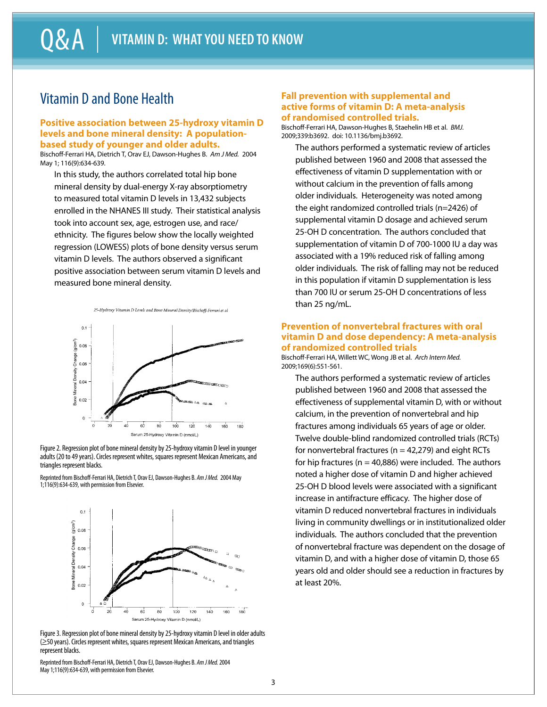# Vitamin D and Bone Health

#### **Positive association between 25-hydroxy vitamin D levels and bone mineral density: A populationbased study of younger and older adults.**

Bischoff-Ferrari HA, Dietrich T, Orav EJ, Dawson-Hughes B. *Am J Med.* 2004 May 1; 116(9):634-639.

In this study, the authors correlated total hip bone mineral density by dual-energy X-ray absorptiometry to measured total vitamin D levels in 13,432 subjects enrolled in the NHANES III study. Their statistical analysis took into account sex, age, estrogen use, and race/ ethnicity. The figures below show the locally weighted regression (LOWESS) plots of bone density versus serum vitamin D levels. The authors observed a significant positive association between serum vitamin D levels and measured bone mineral density.



Figure 2. Regression plot of bone mineral density by 25-hydroxy vitamin D level in younger adults (20 to 49 years). Circles represent whites, squares represent Mexican Americans, and triangles represent blacks.

Reprinted from Bischoff-Ferrari HA, Dietrich T, Orav EJ, Dawson-Hughes B. *Am J Med.* 2004 May 1;116(9):634-639, with permission from Elsevier.



Figure 3. Regression plot of bone mineral density by 25-hydroxy vitamin D level in older adults (≥50 years). Circles represent whites, squares represent Mexican Americans, and triangles represent blacks.

Reprinted from Bischoff-Ferrari HA, Dietrich T, Orav EJ, Dawson-Hughes B. *Am J Med.* 2004 May 1;116(9):634-639, with permission from Elsevier.

#### **Fall prevention with supplemental and active forms of vitamin D: A meta-analysis of randomised controlled trials.**

Bischoff-Ferrari HA, Dawson-Hughes B, Staehelin HB et al. *BMJ.* 2009;339:b3692. doi: 10.1136/bmj.b3692.

The authors performed a systematic review of articles published between 1960 and 2008 that assessed the effectiveness of vitamin D supplementation with or without calcium in the prevention of falls among older individuals. Heterogeneity was noted among the eight randomized controlled trials (n=2426) of supplemental vitamin D dosage and achieved serum 25-OH D concentration. The authors concluded that supplementation of vitamin D of 700-1000 IU a day was associated with a 19% reduced risk of falling among older individuals. The risk of falling may not be reduced in this population if vitamin D supplementation is less than 700 IU or serum 25-OH D concentrations of less than 25 ng/mL.

#### **Prevention of nonvertebral fractures with oral vitamin D and dose dependency: A meta-analysis of randomized controlled trials**

Bischoff-Ferrari HA, Willett WC, Wong JB et al. *Arch Intern Med.* 2009;169(6):551-561.

The authors performed a systematic review of articles published between 1960 and 2008 that assessed the effectiveness of supplemental vitamin D, with or without calcium, in the prevention of nonvertebral and hip fractures among individuals 65 years of age or older. Twelve double-blind randomized controlled trials (RCTs) for nonvertebral fractures ( $n = 42,279$ ) and eight RCTs for hip fractures ( $n = 40,886$ ) were included. The authors noted a higher dose of vitamin D and higher achieved 25-OH D blood levels were associated with a significant increase in antifracture efficacy. The higher dose of vitamin D reduced nonvertebral fractures in individuals living in community dwellings or in institutionalized older individuals. The authors concluded that the prevention of nonvertebral fracture was dependent on the dosage of vitamin D, and with a higher dose of vitamin D, those 65 years old and older should see a reduction in fractures by at least 20%.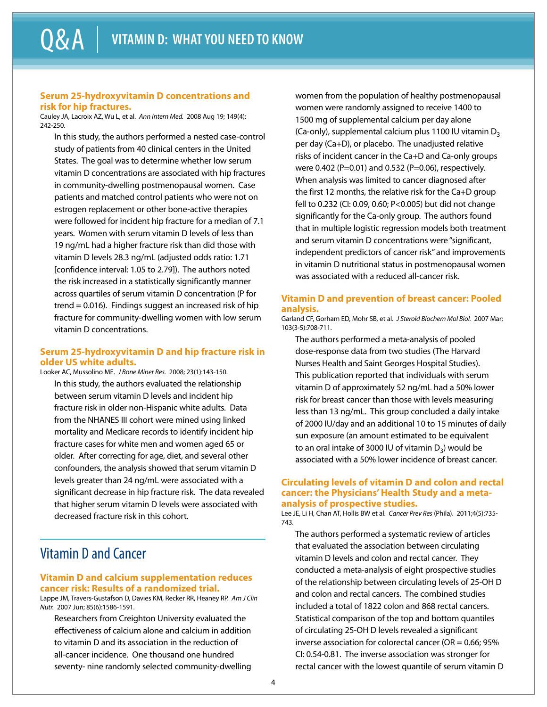#### **Serum 25-hydroxyvitamin D concentrations and risk for hip fractures.**

Cauley JA, Lacroix AZ, Wu L, et al. *Ann Intern Med.* 2008 Aug 19; 149(4): 242-250.

In this study, the authors performed a nested case-control study of patients from 40 clinical centers in the United States. The goal was to determine whether low serum vitamin D concentrations are associated with hip fractures in community-dwelling postmenopausal women. Case patients and matched control patients who were not on estrogen replacement or other bone-active therapies were followed for incident hip fracture for a median of 7.1 years. Women with serum vitamin D levels of less than 19 ng/mL had a higher fracture risk than did those with vitamin D levels 28.3 ng/mL (adjusted odds ratio: 1.71 [confidence interval: 1.05 to 2.79]). The authors noted the risk increased in a statistically significantly manner across quartiles of serum vitamin D concentration (P for trend = 0.016). Findings suggest an increased risk of hip fracture for community-dwelling women with low serum vitamin D concentrations.

#### **Serum 25-hydroxyvitamin D and hip fracture risk in older US white adults.**

Looker AC, Mussolino ME. *J Bone Miner Res.* 2008; 23(1):143-150. In this study, the authors evaluated the relationship between serum vitamin D levels and incident hip fracture risk in older non-Hispanic white adults. Data from the NHANES III cohort were mined using linked mortality and Medicare records to identify incident hip fracture cases for white men and women aged 65 or older. After correcting for age, diet, and several other confounders, the analysis showed that serum vitamin D levels greater than 24 ng/mL were associated with a significant decrease in hip fracture risk. The data revealed that higher serum vitamin D levels were associated with decreased fracture risk in this cohort.

# Vitamin D and Cancer

#### **Vitamin D and calcium supplementation reduces cancer risk: Results of a randomized trial.**

Lappe JM, Travers-Gustafson D, Davies KM, Recker RR, Heaney RP. *Am J Clin Nutr.* 2007 Jun; 85(6):1586-1591.

Researchers from Creighton University evaluated the effectiveness of calcium alone and calcium in addition to vitamin D and its association in the reduction of all-cancer incidence. One thousand one hundred seventy- nine randomly selected community-dwelling

women from the population of healthy postmenopausal women were randomly assigned to receive 1400 to 1500 mg of supplemental calcium per day alone (Ca-only), supplemental calcium plus 1100 IU vitamin  $D_3$ per day (Ca+D), or placebo. The unadjusted relative risks of incident cancer in the Ca+D and Ca-only groups were 0.402 (P=0.01) and 0.532 (P=0.06), respectively. When analysis was limited to cancer diagnosed after the first 12 months, the relative risk for the Ca+D group fell to 0.232 (CI: 0.09, 0.60; P<0.005) but did not change significantly for the Ca-only group. The authors found that in multiple logistic regression models both treatment and serum vitamin D concentrations were "significant, independent predictors of cancer risk" and improvements in vitamin D nutritional status in postmenopausal women was associated with a reduced all-cancer risk.

#### **Vitamin D and prevention of breast cancer: Pooled analysis.**

Garland CF, Gorham ED, Mohr SB, et al. *J Steroid Biochem Mol Biol.* 2007 Mar; 103(3-5):708-711.

The authors performed a meta-analysis of pooled dose-response data from two studies (The Harvard Nurses Health and Saint Georges Hospital Studies). This publication reported that individuals with serum vitamin D of approximately 52 ng/mL had a 50% lower risk for breast cancer than those with levels measuring less than 13 ng/mL. This group concluded a daily intake of 2000 IU/day and an additional 10 to 15 minutes of daily sun exposure (an amount estimated to be equivalent to an oral intake of 3000 IU of vitamin  $D_3$ ) would be associated with a 50% lower incidence of breast cancer.

#### **Circulating levels of vitamin D and colon and rectal cancer: the Physicians' Health Study and a metaanalysis of prospective studies.**

Lee JE, Li H, Chan AT, Hollis BW et al. *Cancer Prev Res* (Phila). 2011;4(5):735- 743.

The authors performed a systematic review of articles that evaluated the association between circulating vitamin D levels and colon and rectal cancer. They conducted a meta-analysis of eight prospective studies of the relationship between circulating levels of 25-OH D and colon and rectal cancers. The combined studies included a total of 1822 colon and 868 rectal cancers. Statistical comparison of the top and bottom quantiles of circulating 25-OH D levels revealed a significant inverse association for colorectal cancer (OR = 0.66; 95% CI: 0.54-0.81. The inverse association was stronger for rectal cancer with the lowest quantile of serum vitamin D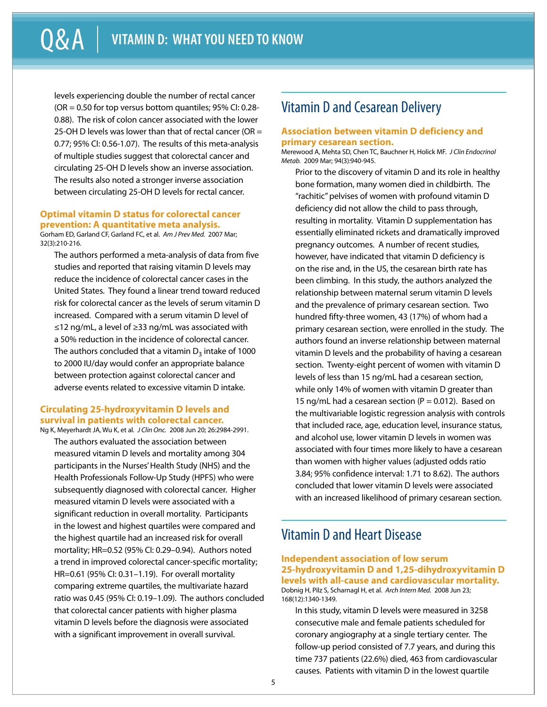levels experiencing double the number of rectal cancer  $(OR = 0.50$  for top versus bottom quantiles; 95% CI: 0.28-0.88). The risk of colon cancer associated with the lower 25-OH D levels was lower than that of rectal cancer (OR  $=$ 0.77; 95% CI: 0.56-1.07). The results of this meta-analysis of multiple studies suggest that colorectal cancer and circulating 25-OH D levels show an inverse association. The results also noted a stronger inverse association between circulating 25-OH D levels for rectal cancer.

## **Optimal vitamin D status for colorectal cancer prevention: A quantitative meta analysis.**

Gorham ED, Garland CF, Garland FC, et al. *Am J Prev Med.* 2007 Mar; 32(3):210-216.

The authors performed a meta-analysis of data from five studies and reported that raising vitamin D levels may reduce the incidence of colorectal cancer cases in the United States. They found a linear trend toward reduced risk for colorectal cancer as the levels of serum vitamin D increased. Compared with a serum vitamin D level of ≤12 ng/mL, a level of ≥33 ng/mL was associated with a 50% reduction in the incidence of colorectal cancer. The authors concluded that a vitamin  $D_3$  intake of 1000 to 2000 IU/day would confer an appropriate balance between protection against colorectal cancer and adverse events related to excessive vitamin D intake.

#### **Circulating 25-hydroxyvitamin D levels and survival in patients with colorectal cancer.** Ng K, Meyerhardt JA, Wu K, et al. *J Clin Onc.* 2008 Jun 20; 26:2984-2991.

The authors evaluated the association between measured vitamin D levels and mortality among 304 participants in the Nurses' Health Study (NHS) and the Health Professionals Follow-Up Study (HPFS) who were subsequently diagnosed with colorectal cancer. Higher measured vitamin D levels were associated with a significant reduction in overall mortality. Participants in the lowest and highest quartiles were compared and the highest quartile had an increased risk for overall mortality; HR=0.52 (95% CI: 0.29–0.94). Authors noted a trend in improved colorectal cancer-specific mortality; HR=0.61 (95% CI: 0.31–1.19). For overall mortality comparing extreme quartiles, the multivariate hazard ratio was 0.45 (95% CI: 0.19–1.09). The authors concluded that colorectal cancer patients with higher plasma vitamin D levels before the diagnosis were associated with a significant improvement in overall survival.

# Vitamin D and Cesarean Delivery

#### **Association between vitamin D deficiency and primary cesarean section.**

Merewood A, Mehta SD, Chen TC, Bauchner H, Holick MF. *J Clin Endocrinol Metab.* 2009 Mar; 94(3):940-945.

Prior to the discovery of vitamin D and its role in healthy bone formation, many women died in childbirth. The "rachitic" pelvises of women with profound vitamin D deficiency did not allow the child to pass through, resulting in mortality. Vitamin D supplementation has essentially eliminated rickets and dramatically improved pregnancy outcomes. A number of recent studies, however, have indicated that vitamin D deficiency is on the rise and, in the US, the cesarean birth rate has been climbing. In this study, the authors analyzed the relationship between maternal serum vitamin D levels and the prevalence of primary cesarean section. Two hundred fifty-three women, 43 (17%) of whom had a primary cesarean section, were enrolled in the study. The authors found an inverse relationship between maternal vitamin D levels and the probability of having a cesarean section. Twenty-eight percent of women with vitamin D levels of less than 15 ng/mL had a cesarean section, while only 14% of women with vitamin D greater than 15 ng/mL had a cesarean section ( $P = 0.012$ ). Based on the multivariable logistic regression analysis with controls that included race, age, education level, insurance status, and alcohol use, lower vitamin D levels in women was associated with four times more likely to have a cesarean than women with higher values (adjusted odds ratio 3.84; 95% confidence interval: 1.71 to 8.62). The authors concluded that lower vitamin D levels were associated with an increased likelihood of primary cesarean section.

# Vitamin D and Heart Disease

**Independent association of low serum 25-hydroxyvitamin D and 1,25-dihydroxyvitamin D levels with all-cause and cardiovascular mortality.** Dobnig H, Pilz S, Scharnagl H, et al. *Arch Intern Med.* 2008 Jun 23; 168(12):1340-1349.

In this study, vitamin D levels were measured in 3258 consecutive male and female patients scheduled for coronary angiography at a single tertiary center. The follow-up period consisted of 7.7 years, and during this time 737 patients (22.6%) died, 463 from cardiovascular causes. Patients with vitamin D in the lowest quartile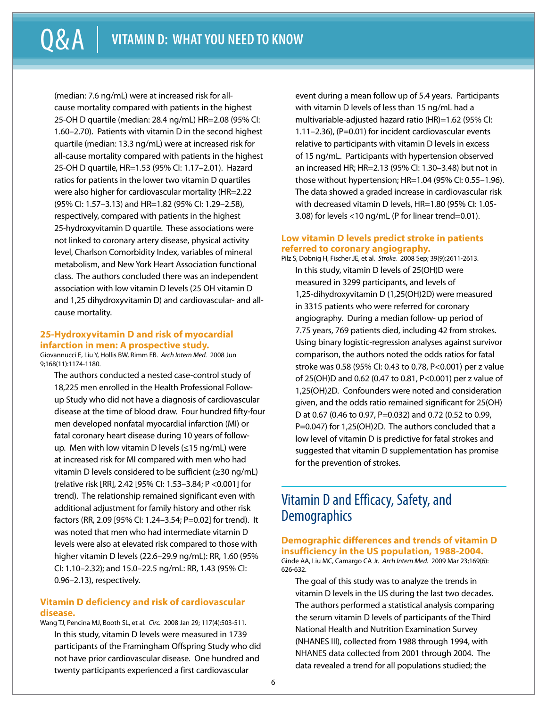(median: 7.6 ng/mL) were at increased risk for allcause mortality compared with patients in the highest 25-OH D quartile (median: 28.4 ng/mL) HR=2.08 (95% CI: 1.60–2.70). Patients with vitamin D in the second highest quartile (median: 13.3 ng/mL) were at increased risk for all-cause mortality compared with patients in the highest 25-OH D quartile, HR=1.53 (95% CI: 1.17–2.01). Hazard ratios for patients in the lower two vitamin D quartiles were also higher for cardiovascular mortality (HR=2.22 (95% CI: 1.57–3.13) and HR=1.82 (95% CI: 1.29–2.58), respectively, compared with patients in the highest 25-hydroxyvitamin D quartile. These associations were not linked to coronary artery disease, physical activity level, Charlson Comorbidity Index, variables of mineral metabolism, and New York Heart Association functional class. The authors concluded there was an independent association with low vitamin D levels (25 OH vitamin D and 1,25 dihydroxyvitamin D) and cardiovascular- and allcause mortality.

# **25-Hydroxyvitamin D and risk of myocardial infarction in men: A prospective study.**

Giovannucci E, Liu Y, Hollis BW, Rimm EB. *Arch Intern Med.* 2008 Jun 9;168(11):1174-1180.

The authors conducted a nested case-control study of 18,225 men enrolled in the Health Professional Followup Study who did not have a diagnosis of cardiovascular disease at the time of blood draw. Four hundred fifty-four men developed nonfatal myocardial infarction (MI) or fatal coronary heart disease during 10 years of followup. Men with low vitamin D levels (≤15 ng/mL) were at increased risk for MI compared with men who had vitamin D levels considered to be sufficient (≥30 ng/mL) (relative risk [RR], 2.42 [95% CI: 1.53–3.84; P <0.001] for trend). The relationship remained significant even with additional adjustment for family history and other risk factors (RR, 2.09 [95% CI: 1.24–3.54; P=0.02] for trend). It was noted that men who had intermediate vitamin D levels were also at elevated risk compared to those with higher vitamin D levels (22.6–29.9 ng/mL): RR, 1.60 (95% CI: 1.10–2.32); and 15.0–22.5 ng/mL: RR, 1.43 (95% CI: 0.96–2.13), respectively.

#### **Vitamin D deficiency and risk of cardiovascular disease.**

Wang TJ, Pencina MJ, Booth SL, et al. *Circ.* 2008 Jan 29; 117(4):503-511. In this study, vitamin D levels were measured in 1739 participants of the Framingham Offspring Study who did not have prior cardiovascular disease. One hundred and twenty participants experienced a first cardiovascular

event during a mean follow up of 5.4 years. Participants with vitamin D levels of less than 15 ng/mL had a multivariable-adjusted hazard ratio (HR)=1.62 (95% CI: 1.11–2.36), (P=0.01) for incident cardiovascular events relative to participants with vitamin D levels in excess of 15 ng/mL. Participants with hypertension observed an increased HR; HR=2.13 (95% CI: 1.30–3.48) but not in those without hypertension; HR=1.04 (95% CI: 0.55–1.96). The data showed a graded increase in cardiovascular risk with decreased vitamin D levels, HR=1.80 (95% CI: 1.05- 3.08) for levels <10 ng/mL (P for linear trend=0.01).

#### **Low vitamin D levels predict stroke in patients referred to coronary angiography.**

Pilz S, Dobnig H, Fischer JE, et al. *Stroke.* 2008 Sep; 39(9):2611-2613. In this study, vitamin D levels of 25(OH)D were measured in 3299 participants, and levels of 1,25-dihydroxyvitamin D (1,25(OH)2D) were measured in 3315 patients who were referred for coronary angiography. During a median follow- up period of 7.75 years, 769 patients died, including 42 from strokes. Using binary logistic-regression analyses against survivor comparison, the authors noted the odds ratios for fatal stroke was 0.58 (95% CI: 0.43 to 0.78, P<0.001) per z value of 25(OH)D and 0.62 (0.47 to 0.81, P<0.001) per z value of 1,25(OH)2D. Confounders were noted and consideration given, and the odds ratio remained significant for 25(OH) D at 0.67 (0.46 to 0.97, P=0.032) and 0.72 (0.52 to 0.99, P=0.047) for 1,25(OH)2D. The authors concluded that a low level of vitamin D is predictive for fatal strokes and suggested that vitamin D supplementation has promise for the prevention of strokes.

# Vitamin D and Efficacy, Safety, and **Demographics**

**Demographic differences and trends of vitamin D insufficiency in the US population, 1988-2004.** Ginde AA, Liu MC, Camargo CA Jr. *Arch Intern Med.* 2009 Mar 23;169(6): 626-632.

The goal of this study was to analyze the trends in vitamin D levels in the US during the last two decades. The authors performed a statistical analysis comparing the serum vitamin D levels of participants of the Third National Health and Nutrition Examination Survey (NHANES III), collected from 1988 through 1994, with NHANES data collected from 2001 through 2004. The data revealed a trend for all populations studied; the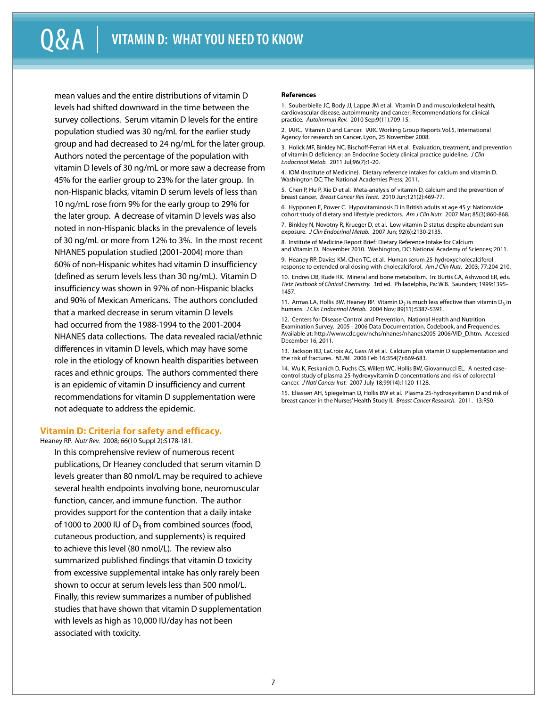mean values and the entire distributions of vitamin D levels had shifted downward in the time between the survey collections. Serum vitamin D levels for the entire population studied was 30 ng/mL for the earlier study group and had decreased to 24 ng/mL for the later group. Authors noted the percentage of the population with vitamin D levels of 30 ng/mL or more saw a decrease from 45% for the earlier group to 23% for the later group. In non-Hispanic blacks, vitamin D serum levels of less than 10 ng/mL rose from 9% for the early group to 29% for the later group. A decrease of vitamin D levels was also noted in non-Hispanic blacks in the prevalence of levels of 30 ng/mL or more from 12% to 3%. In the most recent NHANES population studied (2001-2004) more than 60% of non-Hispanic whites had vitamin D insufficiency (defined as serum levels less than 30 ng/mL). Vitamin D insufficiency was shown in 97% of non-Hispanic blacks and 90% of Mexican Americans. The authors concluded that a marked decrease in serum vitamin D levels had occurred from the 1988-1994 to the 2001-2004 NHANES data collections. The data revealed racial/ethnic differences in vitamin D levels, which may have some role in the etiology of known health disparities between races and ethnic groups. The authors commented there is an epidemic of vitamin D insufficiency and current recommendations for vitamin D supplementation were not adequate to address the epidemic.

#### **Vitamin D: Criteria for safety and efficacy.**

Heaney RP. *Nutr Rev.* 2008; 66(10 Suppl 2):S178-181.

In this comprehensive review of numerous recent publications, Dr Heaney concluded that serum vitamin D levels greater than 80 nmol/L may be required to achieve several health endpoints involving bone, neuromuscular function, cancer, and immune function. The author provides support for the contention that a daily intake of 1000 to 2000 IU of  $D_3$  from combined sources (food, cutaneous production, and supplements) is required to achieve this level (80 nmol/L). The review also summarized published findings that vitamin D toxicity from excessive supplemental intake has only rarely been shown to occur at serum levels less than 500 nmol/L. Finally, this review summarizes a number of published studies that have shown that vitamin D supplementation with levels as high as 10,000 IU/day has not been associated with toxicity.

#### **References**

1. Souberbielle JC, Body JJ, Lappe JM et al. Vitamin D and musculoskeletal health, cardiovascular disease, autoimmunity and cancer: Recommendations for clinical practice. *Autoimmun Rev.* 2010 Sep;9(11):709-15.

2. IARC. Vitamin D and Cancer. IARC Working Group Reports Vol.5, International Agency for research on Cancer, Lyon, 25 November 2008.

3. Holick MF, Binkley NC, Bischoff-Ferrari HA et al. Evaluation, treatment, and prevention of vitamin D deficiency: an Endocrine Society clinical practice guideline. *J Clin Endocrinol Metab.* 2011 Jul;96(7):1-20.

4. IOM (Institute of Medicine). Dietary reference intakes for calcium and vitamin D. Washington DC: The National Academies Press; 2011.

5. Chen P, Hu P, Xie D et al. Meta-analysis of vitamin D, calcium and the prevention of breast cancer. *Breast Cancer Res Treat.* 2010 Jun;121(2):469-77.

6. Hypponen E, Power C. Hypovitaminosis D in British adults at age 45 y: Nationwide cohort study of dietary and lifestyle predictors. *Am J Clin Nutr.* 2007 Mar; 85(3):860-868.

7. Binkley N, Novotny R, Krueger D, et al. Low vitamin D status despite abundant sun exposure. *J Clin Endocrinol Metab.* 2007 Jun; 92(6):2130-2135.

8. Institute of Medicine Report Brief: Dietary Reference Intake for Calcium and Vitamin D. November 2010. Washington, DC: National Academy of Sciences; 2011.

9. Heaney RP, Davies KM, Chen TC, et al. Human serum 25-hydroxycholecalciferol response to extended oral dosing with cholecalciforol. *Am J Clin Nutr.* 2003; 77:204-210.

10. Endres DB, Rude RK. Mineral and bone metabolism. In: Burtis CA, Ashwood ER, eds. *Tietz Textbook of Clinical Chemistry.* 3rd ed. Philadelphia, Pa: W.B. Saunders; 1999:1395- 1457.

11. Armas LA, Hollis BW, Heaney RP. Vitamin  $D_2$  is much less effective than vitamin  $D_3$  in humans. *J Clin Endocrinol Metab.* 2004 Nov; 89(11):5387-5391.

12. Centers for Disease Control and Prevention. National Health and Nutrition Examination Survey. 2005 - 2006 Data Documentation, Codebook, and Frequencies. Available at: http://www.cdc.gov/nchs/nhanes/nhanes2005-2006/VID\_D.htm. Accessed December 16, 2011.

13. Jackson RD, LaCroix AZ, Gass M et al. Calcium plus vitamin D supplementation and the risk of fractures. *NEJM.* 2006 Feb 16;354(7):669-683.

14. Wu K, Feskanich D, Fuchs CS, Willett WC, Hollis BW, Giovannucci EL. A nested casecontrol study of plasma 25-hydroxyvitamin D concentrations and risk of colorectal cancer. *J Natl Cancer Inst.* 2007 July 18;99(14):1120-1128.

15. Eliassen AH, Spiegelman D, Hollis BW et al. Plasma 25-hydroxyvitamin D and risk of breast cancer in the Nurses' Health Study II. *Breast Cancer Research.* 2011. 13:R50.